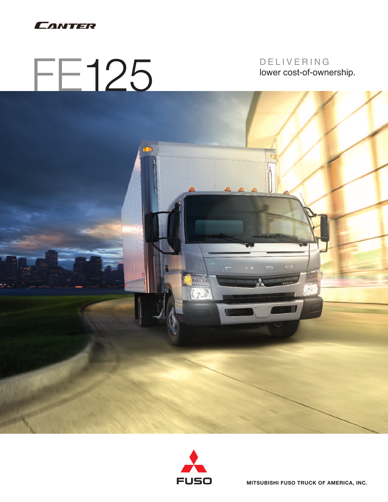

# FE125

## D E L I V E R I N G lower cost-of-ownership.